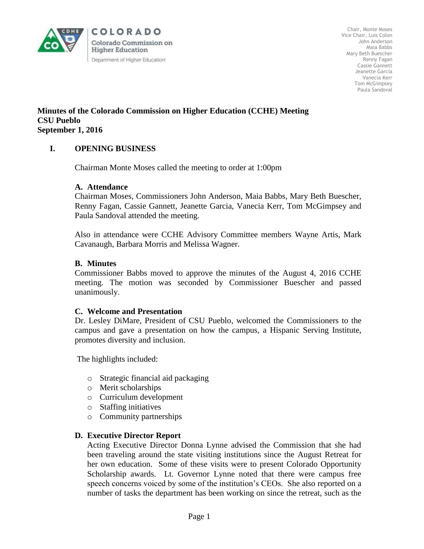

COLORADO Colorado Commission on **Higher Education** Department of Higher Education

Chair, Monte Moses Vice Chair, Luis Colon John Anderson Maia Babbs Mary Beth Buescher Renny Fagan Cassie Gannett Jeanette Garcia Vanecia Kerr Tom McGimpsey Paula Sandoval

#### **Minutes of the Colorado Commission on Higher Education (CCHE) Meeting CSU Pueblo September 1, 2016**

# **I. OPENING BUSINESS**

Chairman Monte Moses called the meeting to order at 1:00pm

#### **A. Attendance**

Chairman Moses, Commissioners John Anderson, Maia Babbs, Mary Beth Buescher, Renny Fagan, Cassie Gannett, Jeanette Garcia, Vanecia Kerr, Tom McGimpsey and Paula Sandoval attended the meeting.

Also in attendance were CCHE Advisory Committee members Wayne Artis, Mark Cavanaugh, Barbara Morris and Melissa Wagner.

#### **B. Minutes**

Commissioner Babbs moved to approve the minutes of the August 4, 2016 CCHE meeting. The motion was seconded by Commissioner Buescher and passed unanimously.

#### **C. Welcome and Presentation**

Dr. Lesley DiMare, President of CSU Pueblo, welcomed the Commissioners to the campus and gave a presentation on how the campus, a Hispanic Serving Institute, promotes diversity and inclusion.

The highlights included:

- o Strategic financial aid packaging
- o Merit scholarships
- o Curriculum development
- o Staffing initiatives
- o Community partnerships

## **D. Executive Director Report**

Acting Executive Director Donna Lynne advised the Commission that she had been traveling around the state visiting institutions since the August Retreat for her own education. Some of these visits were to present Colorado Opportunity Scholarship awards. Lt. Governor Lynne noted that there were campus free speech concerns voiced by some of the institution's CEOs. She also reported on a number of tasks the department has been working on since the retreat, such as the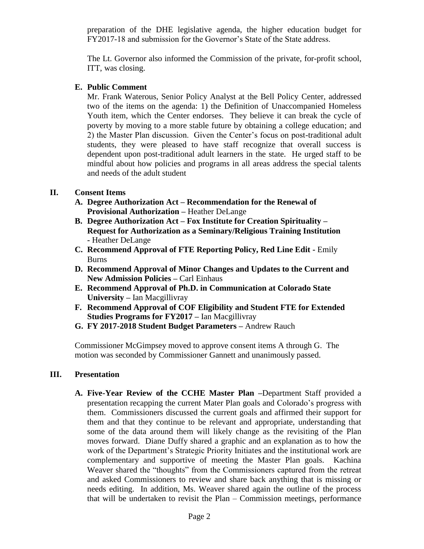preparation of the DHE legislative agenda, the higher education budget for FY2017-18 and submission for the Governor's State of the State address.

The Lt. Governor also informed the Commission of the private, for-profit school, ITT, was closing.

## **E. Public Comment**

Mr. Frank Waterous, Senior Policy Analyst at the Bell Policy Center, addressed two of the items on the agenda: 1) the Definition of Unaccompanied Homeless Youth item, which the Center endorses. They believe it can break the cycle of poverty by moving to a more stable future by obtaining a college education; and 2) the Master Plan discussion. Given the Center's focus on post-traditional adult students, they were pleased to have staff recognize that overall success is dependent upon post-traditional adult learners in the state. He urged staff to be mindful about how policies and programs in all areas address the special talents and needs of the adult student

## **II. Consent Items**

- **A. Degree Authorization Act – Recommendation for the Renewal of Provisional Authorization –** Heather DeLange
- **B. Degree Authorization Act – Fox Institute for Creation Spirituality – Request for Authorization as a Seminary/Religious Training Institution -** Heather DeLange
- **C. Recommend Approval of FTE Reporting Policy, Red Line Edit -** Emily Burns
- **D. Recommend Approval of Minor Changes and Updates to the Current and New Admission Policies –** Carl Einhaus
- **E. Recommend Approval of Ph.D. in Communication at Colorado State University –** Ian Macgillivray
- **F. Recommend Approval of COF Eligibility and Student FTE for Extended Studies Programs for FY2017 –** Ian Macgillivray
- **G. FY 2017-2018 Student Budget Parameters –** Andrew Rauch

Commissioner McGimpsey moved to approve consent items A through G. The motion was seconded by Commissioner Gannett and unanimously passed.

## **III. Presentation**

**A. Five-Year Review of the CCHE Master Plan –**Department Staff provided a presentation recapping the current Mater Plan goals and Colorado's progress with them. Commissioners discussed the current goals and affirmed their support for them and that they continue to be relevant and appropriate, understanding that some of the data around them will likely change as the revisiting of the Plan moves forward. Diane Duffy shared a graphic and an explanation as to how the work of the Department's Strategic Priority Initiates and the institutional work are complementary and supportive of meeting the Master Plan goals. Kachina Weaver shared the "thoughts" from the Commissioners captured from the retreat and asked Commissioners to review and share back anything that is missing or needs editing. In addition, Ms. Weaver shared again the outline of the process that will be undertaken to revisit the Plan – Commission meetings, performance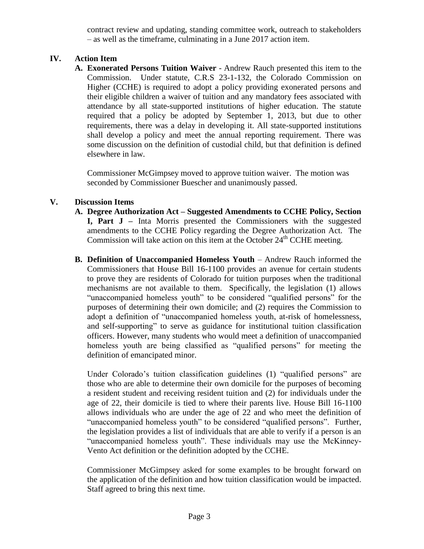contract review and updating, standing committee work, outreach to stakeholders – as well as the timeframe, culminating in a June 2017 action item.

# **IV. Action Item**

**A. Exonerated Persons Tuition Waiver** - Andrew Rauch presented this item to the Commission. Under statute, C.R.S 23-1-132, the Colorado Commission on Higher (CCHE) is required to adopt a policy providing exonerated persons and their eligible children a waiver of tuition and any mandatory fees associated with attendance by all state-supported institutions of higher education. The statute required that a policy be adopted by September 1, 2013, but due to other requirements, there was a delay in developing it. All state-supported institutions shall develop a policy and meet the annual reporting requirement. There was some discussion on the definition of custodial child, but that definition is defined elsewhere in law.

Commissioner McGimpsey moved to approve tuition waiver. The motion was seconded by Commissioner Buescher and unanimously passed.

# **V. Discussion Items**

- **A. Degree Authorization Act – Suggested Amendments to CCHE Policy, Section I, Part J –** Inta Morris presented the Commissioners with the suggested amendments to the CCHE Policy regarding the Degree Authorization Act. The Commission will take action on this item at the October  $24<sup>th</sup>$  CCHE meeting.
- **B. Definition of Unaccompanied Homeless Youth Andrew Rauch informed the** Commissioners that House Bill 16-1100 provides an avenue for certain students to prove they are residents of Colorado for tuition purposes when the traditional mechanisms are not available to them. Specifically, the legislation (1) allows "unaccompanied homeless youth" to be considered "qualified persons" for the purposes of determining their own domicile; and (2) requires the Commission to adopt a definition of "unaccompanied homeless youth, at-risk of homelessness, and self-supporting" to serve as guidance for institutional tuition classification officers. However, many students who would meet a definition of unaccompanied homeless youth are being classified as "qualified persons" for meeting the definition of emancipated minor.

Under Colorado's tuition classification guidelines (1) "qualified persons" are those who are able to determine their own domicile for the purposes of becoming a resident student and receiving resident tuition and (2) for individuals under the age of 22, their domicile is tied to where their parents live. House Bill 16-1100 allows individuals who are under the age of 22 and who meet the definition of "unaccompanied homeless youth" to be considered "qualified persons". Further, the legislation provides a list of individuals that are able to verify if a person is an "unaccompanied homeless youth". These individuals may use the McKinney-Vento Act definition or the definition adopted by the CCHE.

Commissioner McGimpsey asked for some examples to be brought forward on the application of the definition and how tuition classification would be impacted. Staff agreed to bring this next time.